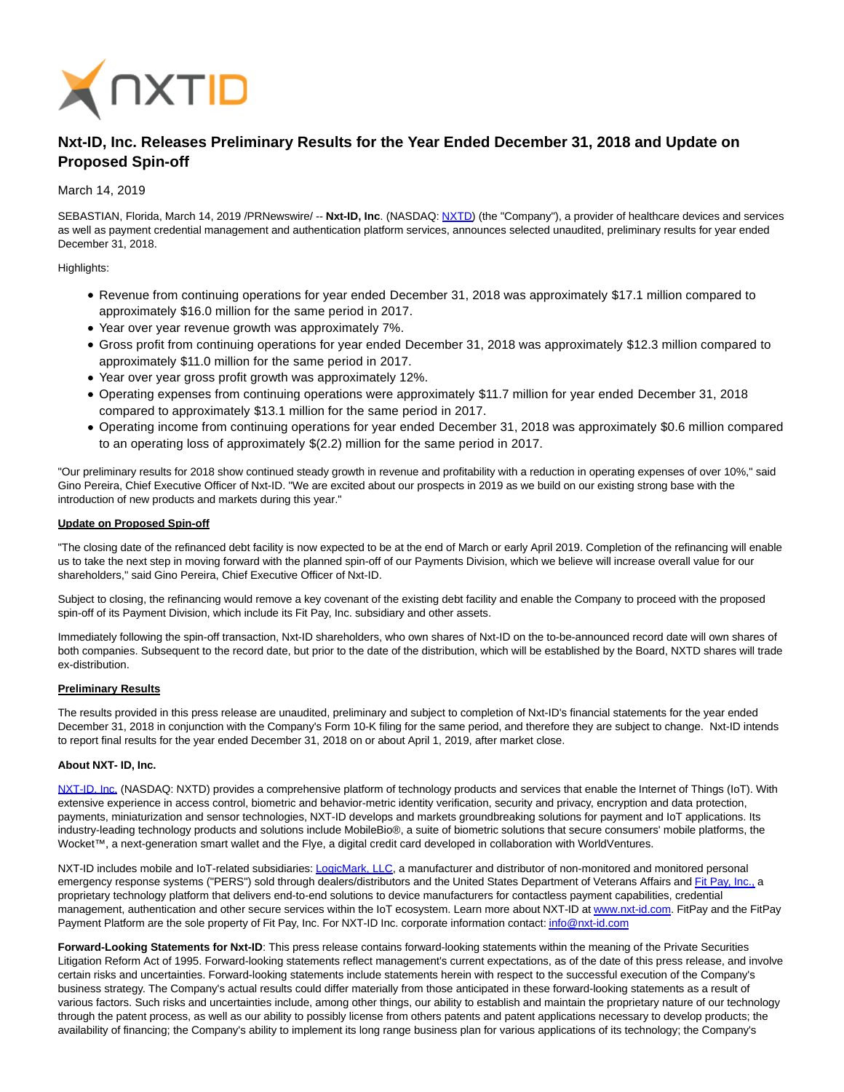

# **Nxt-ID, Inc. Releases Preliminary Results for the Year Ended December 31, 2018 and Update on Proposed Spin-off**

## March 14, 2019

SEBASTIAN, Florida, March 14, 2019 /PRNewswire/ -- **Nxt-ID, Inc**. (NASDAQ: [NXTD\)](https://finance.yahoo.com/q?s=nxtd) (the "Company"), a provider of healthcare devices and services as well as payment credential management and authentication platform services, announces selected unaudited, preliminary results for year ended December 31, 2018.

Highlights:

- Revenue from continuing operations for year ended December 31, 2018 was approximately \$17.1 million compared to approximately \$16.0 million for the same period in 2017.
- Year over year revenue growth was approximately 7%.
- Gross profit from continuing operations for year ended December 31, 2018 was approximately \$12.3 million compared to approximately \$11.0 million for the same period in 2017.
- Year over year gross profit growth was approximately 12%.
- Operating expenses from continuing operations were approximately \$11.7 million for year ended December 31, 2018 compared to approximately \$13.1 million for the same period in 2017.
- Operating income from continuing operations for year ended December 31, 2018 was approximately \$0.6 million compared to an operating loss of approximately \$(2.2) million for the same period in 2017.

"Our preliminary results for 2018 show continued steady growth in revenue and profitability with a reduction in operating expenses of over 10%," said Gino Pereira, Chief Executive Officer of Nxt-ID. "We are excited about our prospects in 2019 as we build on our existing strong base with the introduction of new products and markets during this year."

### **Update on Proposed Spin-off**

"The closing date of the refinanced debt facility is now expected to be at the end of March or early April 2019. Completion of the refinancing will enable us to take the next step in moving forward with the planned spin-off of our Payments Division, which we believe will increase overall value for our shareholders," said Gino Pereira, Chief Executive Officer of Nxt-ID.

Subject to closing, the refinancing would remove a key covenant of the existing debt facility and enable the Company to proceed with the proposed spin-off of its Payment Division, which include its Fit Pay, Inc. subsidiary and other assets.

Immediately following the spin-off transaction, Nxt-ID shareholders, who own shares of Nxt-ID on the to-be-announced record date will own shares of both companies. Subsequent to the record date, but prior to the date of the distribution, which will be established by the Board, NXTD shares will trade ex-distribution.

### **Preliminary Results**

The results provided in this press release are unaudited, preliminary and subject to completion of Nxt-ID's financial statements for the year ended December 31, 2018 in conjunction with the Company's Form 10-K filing for the same period, and therefore they are subject to change. Nxt-ID intends to report final results for the year ended December 31, 2018 on or about April 1, 2019, after market close.

### **About NXT- ID, Inc.**

[NXT-ID, Inc. \(](http://www.nxt-id.com/)NASDAQ: NXTD) provides a comprehensive platform of technology products and services that enable the Internet of Things (IoT). With extensive experience in access control, biometric and behavior-metric identity verification, security and privacy, encryption and data protection, payments, miniaturization and sensor technologies, NXT-ID develops and markets groundbreaking solutions for payment and IoT applications. Its industry-leading technology products and solutions include MobileBio®, a suite of biometric solutions that secure consumers' mobile platforms, the Wocket™, a next-generation smart wallet and the Flye, a digital credit card developed in collaboration with WorldVentures.

NXT-ID includes mobile and IoT-related subsidiaries[: LogicMark, LLC,](https://www.logicmark.com/) a manufacturer and distributor of non-monitored and monitored personal emergency response systems ("PERS") sold through dealers/distributors and the United States Department of Veterans Affairs an[d Fit Pay, Inc., a](http://www.fit-pay.com/) proprietary technology platform that delivers end-to-end solutions to device manufacturers for contactless payment capabilities, credential management, authentication and other secure services within the IoT ecosystem. Learn more about NXT-ID at [www.nxt-id.com.](http://www.nxt-id.com/) FitPay and the FitPay Payment Platform are the sole property of Fit Pay, Inc. For NXT-ID Inc. corporate information contact[: info@nxt-id.com](mailto:info@nxt-id.com)

**Forward-Looking Statements for Nxt-ID**: This press release contains forward-looking statements within the meaning of the Private Securities Litigation Reform Act of 1995. Forward-looking statements reflect management's current expectations, as of the date of this press release, and involve certain risks and uncertainties. Forward-looking statements include statements herein with respect to the successful execution of the Company's business strategy. The Company's actual results could differ materially from those anticipated in these forward-looking statements as a result of various factors. Such risks and uncertainties include, among other things, our ability to establish and maintain the proprietary nature of our technology through the patent process, as well as our ability to possibly license from others patents and patent applications necessary to develop products; the availability of financing; the Company's ability to implement its long range business plan for various applications of its technology; the Company's